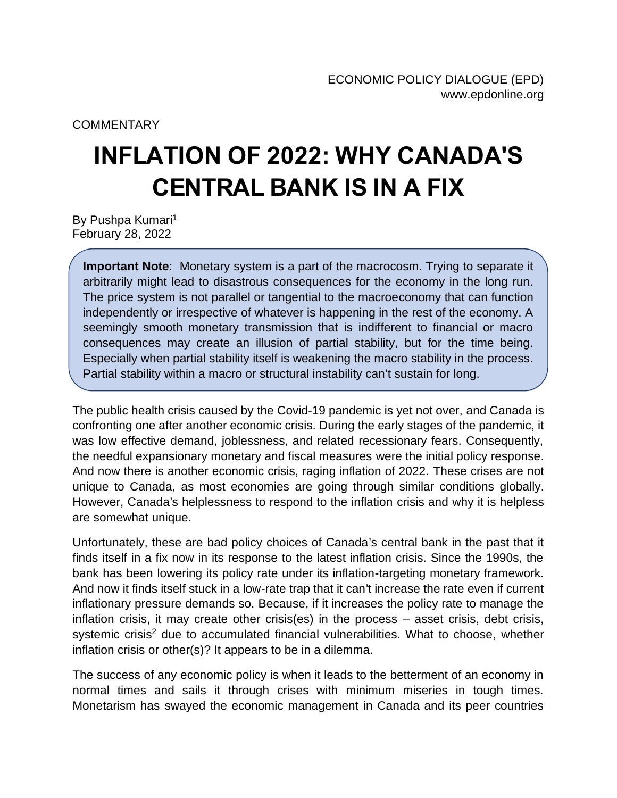## **COMMENTARY**

## **INFLATION OF 2022: WHY CANADA'S CENTRAL BANK IS IN A FIX**

By Pushpa Kumari<sup>1</sup> February 28, 2022

**Important Note**: Monetary system is a part of the macrocosm. Trying to separate it arbitrarily might lead to disastrous consequences for the economy in the long run. The price system is not parallel or tangential to the macroeconomy that can function independently or irrespective of whatever is happening in the rest of the economy. A seemingly smooth monetary transmission that is indifferent to financial or macro consequences may create an illusion of partial stability, but for the time being. Especially when partial stability itself is weakening the macro stability in the process. Partial stability within a macro or structural instability can't sustain for long.

The public health crisis caused by the Covid-19 pandemic is yet not over, and Canada is confronting one after another economic crisis. During the early stages of the pandemic, it was low effective demand, joblessness, and related recessionary fears. Consequently, the needful expansionary monetary and fiscal measures were the initial policy response. And now there is another economic crisis, raging inflation of 2022. These crises are not unique to Canada, as most economies are going through similar conditions globally. However, Canada's helplessness to respond to the inflation crisis and why it is helpless are somewhat unique.

Unfortunately, these are bad policy choices of Canada's central bank in the past that it finds itself in a fix now in its response to the latest inflation crisis. Since the 1990s, the bank has been lowering its policy rate under its inflation-targeting monetary framework. And now it finds itself stuck in a low-rate trap that it can't increase the rate even if current inflationary pressure demands so. Because, if it increases the policy rate to manage the inflation crisis, it may create other crisis(es) in the process – asset crisis, debt crisis, systemic crisis<sup>2</sup> due to accumulated financial vulnerabilities. What to choose, whether inflation crisis or other(s)? It appears to be in a dilemma.

The success of any economic policy is when it leads to the betterment of an economy in normal times and sails it through crises with minimum miseries in tough times. Monetarism has swayed the economic management in Canada and its peer countries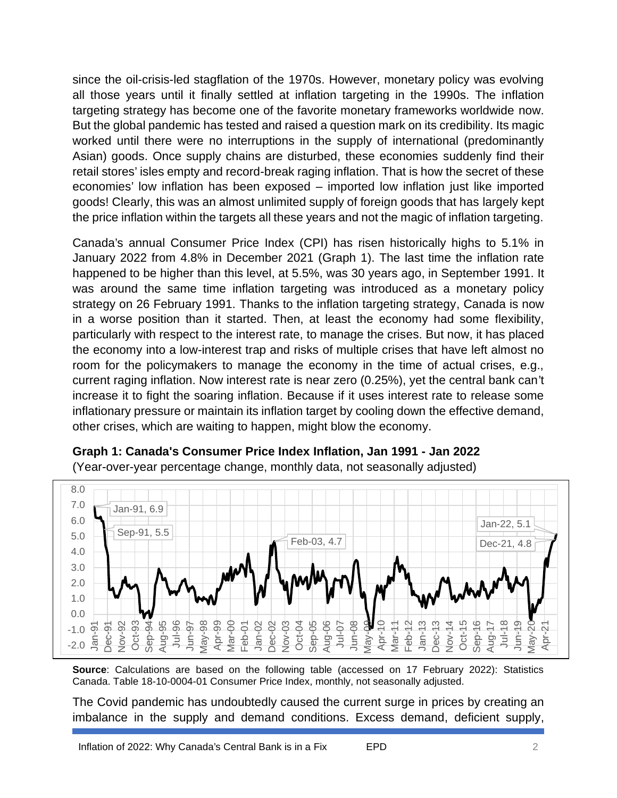since the oil-crisis-led stagflation of the 1970s. However, monetary policy was evolving all those years until it finally settled at inflation targeting in the 1990s. The inflation targeting strategy has become one of the favorite monetary frameworks worldwide now. But the global pandemic has tested and raised a question mark on its credibility. Its magic worked until there were no interruptions in the supply of international (predominantly Asian) goods. Once supply chains are disturbed, these economies suddenly find their retail stores' isles empty and record-break raging inflation. That is how the secret of these economies' low inflation has been exposed – imported low inflation just like imported goods! Clearly, this was an almost unlimited supply of foreign goods that has largely kept the price inflation within the targets all these years and not the magic of inflation targeting.

Canada's annual Consumer Price Index (CPI) has risen historically highs to 5.1% in January 2022 from 4.8% in December 2021 (Graph 1). The last time the inflation rate happened to be higher than this level, at 5.5%, was 30 years ago, in September 1991. It was around the same time inflation targeting was introduced as a monetary policy strategy on 26 February 1991. Thanks to the inflation targeting strategy, Canada is now in a worse position than it started. Then, at least the economy had some flexibility, particularly with respect to the interest rate, to manage the crises. But now, it has placed the economy into a low-interest trap and risks of multiple crises that have left almost no room for the policymakers to manage the economy in the time of actual crises, e.g., current raging inflation. Now interest rate is near zero (0.25%), yet the central bank can't increase it to fight the soaring inflation. Because if it uses interest rate to release some inflationary pressure or maintain its inflation target by cooling down the effective demand, other crises, which are waiting to happen, might blow the economy.



**Graph 1: Canada's Consumer Price Index Inflation, Jan 1991 - Jan 2022** (Year-over-year percentage change, monthly data, not seasonally adjusted)

**Source**: Calculations are based on the following table (accessed on 17 February 2022): Statistics Canada. Table 18-10-0004-01 Consumer Price Index, monthly, not seasonally adjusted.

The Covid pandemic has undoubtedly caused the current surge in prices by creating an imbalance in the supply and demand conditions. Excess demand, deficient supply,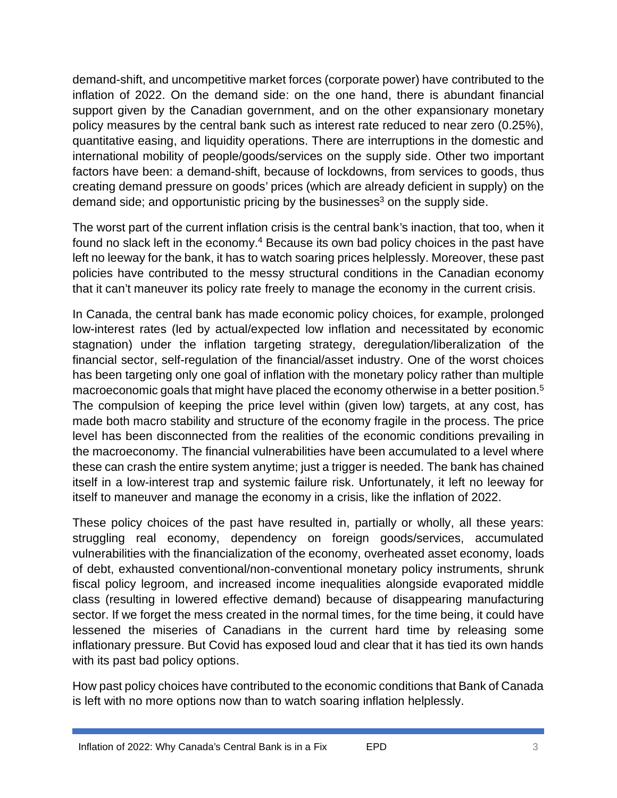demand-shift, and uncompetitive market forces (corporate power) have contributed to the inflation of 2022. On the demand side: on the one hand, there is abundant financial support given by the Canadian government, and on the other expansionary monetary policy measures by the central bank such as interest rate reduced to near zero (0.25%), quantitative easing, and liquidity operations. There are interruptions in the domestic and international mobility of people/goods/services on the supply side. Other two important factors have been: a demand-shift, because of lockdowns, from services to goods, thus creating demand pressure on goods' prices (which are already deficient in supply) on the demand side; and opportunistic pricing by the businesses $3$  on the supply side.

The worst part of the current inflation crisis is the central bank's inaction, that too, when it found no slack left in the economy.<sup>4</sup> Because its own bad policy choices in the past have left no leeway for the bank, it has to watch soaring prices helplessly. Moreover, these past policies have contributed to the messy structural conditions in the Canadian economy that it can't maneuver its policy rate freely to manage the economy in the current crisis.

In Canada, the central bank has made economic policy choices, for example, prolonged low-interest rates (led by actual/expected low inflation and necessitated by economic stagnation) under the inflation targeting strategy, deregulation/liberalization of the financial sector, self-regulation of the financial/asset industry. One of the worst choices has been targeting only one goal of inflation with the monetary policy rather than multiple macroeconomic goals that might have placed the economy otherwise in a better position.<sup>5</sup> The compulsion of keeping the price level within (given low) targets, at any cost, has made both macro stability and structure of the economy fragile in the process. The price level has been disconnected from the realities of the economic conditions prevailing in the macroeconomy. The financial vulnerabilities have been accumulated to a level where these can crash the entire system anytime; just a trigger is needed. The bank has chained itself in a low-interest trap and systemic failure risk. Unfortunately, it left no leeway for itself to maneuver and manage the economy in a crisis, like the inflation of 2022.

These policy choices of the past have resulted in, partially or wholly, all these years: struggling real economy, dependency on foreign goods/services, accumulated vulnerabilities with the financialization of the economy, overheated asset economy, loads of debt, exhausted conventional/non-conventional monetary policy instruments, shrunk fiscal policy legroom, and increased income inequalities alongside evaporated middle class (resulting in lowered effective demand) because of disappearing manufacturing sector. If we forget the mess created in the normal times, for the time being, it could have lessened the miseries of Canadians in the current hard time by releasing some inflationary pressure. But Covid has exposed loud and clear that it has tied its own hands with its past bad policy options.

How past policy choices have contributed to the economic conditions that Bank of Canada is left with no more options now than to watch soaring inflation helplessly.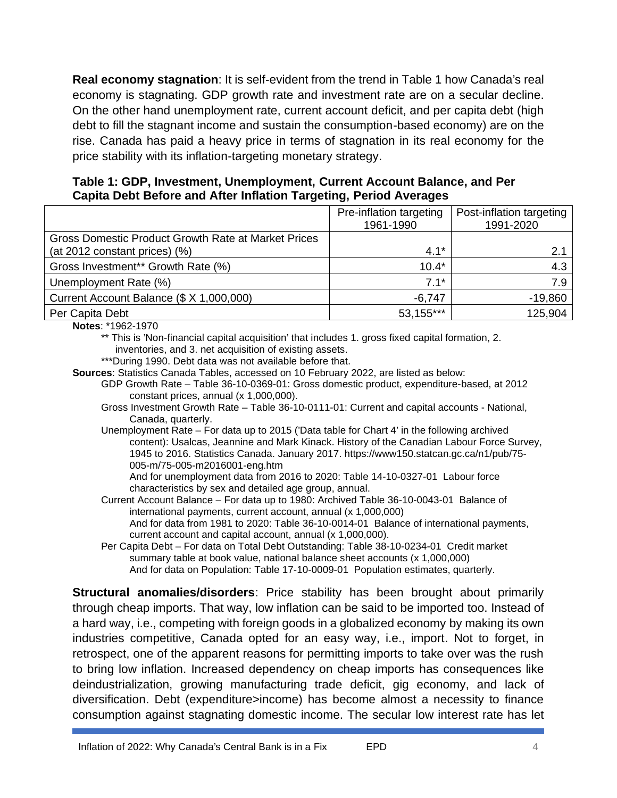**Real economy stagnation**: It is self-evident from the trend in Table 1 how Canada's real economy is stagnating. GDP growth rate and investment rate are on a secular decline. On the other hand unemployment rate, current account deficit, and per capita debt (high debt to fill the stagnant income and sustain the consumption-based economy) are on the rise. Canada has paid a heavy price in terms of stagnation in its real economy for the price stability with its inflation-targeting monetary strategy.

**Table 1: GDP, Investment, Unemployment, Current Account Balance, and Per Capita Debt Before and After Inflation Targeting, Period Averages**

|                                                                                      | Pre-inflation targeting<br>1961-1990 | Post-inflation targeting<br>1991-2020 |  |  |
|--------------------------------------------------------------------------------------|--------------------------------------|---------------------------------------|--|--|
| Gross Domestic Product Growth Rate at Market Prices<br>(at 2012 constant prices) (%) | $4.1*$                               | 2.1                                   |  |  |
| Gross Investment** Growth Rate (%)                                                   | $10.4*$                              | 4.3                                   |  |  |
| Unemployment Rate (%)                                                                | $7.1*$                               | 7.9                                   |  |  |
| Current Account Balance (\$ X 1,000,000)                                             | $-6,747$                             | $-19,860$                             |  |  |
| Per Capita Debt                                                                      | 53,155***                            | 125,904                               |  |  |

**Notes**: \*1962-1970

- \*\* This is 'Non-financial capital acquisition' that includes 1. gross fixed capital formation, 2. inventories, and 3. net acquisition of existing assets.
- \*\*\*During 1990. Debt data was not available before that.
- **Sources**: Statistics Canada Tables, accessed on 10 February 2022, are listed as below:
	- GDP Growth Rate Table 36-10-0369-01: Gross domestic product, expenditure-based, at 2012 constant prices, annual (x 1,000,000).
	- Gross Investment Growth Rate Table 36-10-0111-01: Current and capital accounts National, Canada, quarterly.
	- Unemployment Rate For data up to 2015 ('Data table for Chart 4' in the following archived content): Usalcas, Jeannine and Mark Kinack. History of the Canadian Labour Force Survey, 1945 to 2016. Statistics Canada. January 2017. https://www150.statcan.gc.ca/n1/pub/75- 005-m/75-005-m2016001-eng.htm

And for unemployment data from 2016 to 2020: Table 14-10-0327-01 Labour force characteristics by sex and detailed age group, annual.

Current Account Balance – For data up to 1980: Archived Table 36-10-0043-01 Balance of international payments, current account, annual (x 1,000,000)

And for data from 1981 to 2020: Table 36-10-0014-01 Balance of international payments, current account and capital account, annual (x 1,000,000).

Per Capita Debt – For data on Total Debt Outstanding: Table 38-10-0234-01 Credit market summary table at book value, national balance sheet accounts (x 1,000,000) And for data on Population: Table 17-10-0009-01 Population estimates, quarterly.

**Structural anomalies/disorders**: Price stability has been brought about primarily through cheap imports. That way, low inflation can be said to be imported too. Instead of a hard way, i.e., competing with foreign goods in a globalized economy by making its own industries competitive, Canada opted for an easy way, i.e., import. Not to forget, in retrospect, one of the apparent reasons for permitting imports to take over was the rush to bring low inflation. Increased dependency on cheap imports has consequences like deindustrialization, growing manufacturing trade deficit, gig economy, and lack of diversification. Debt (expenditure>income) has become almost a necessity to finance consumption against stagnating domestic income. The secular low interest rate has let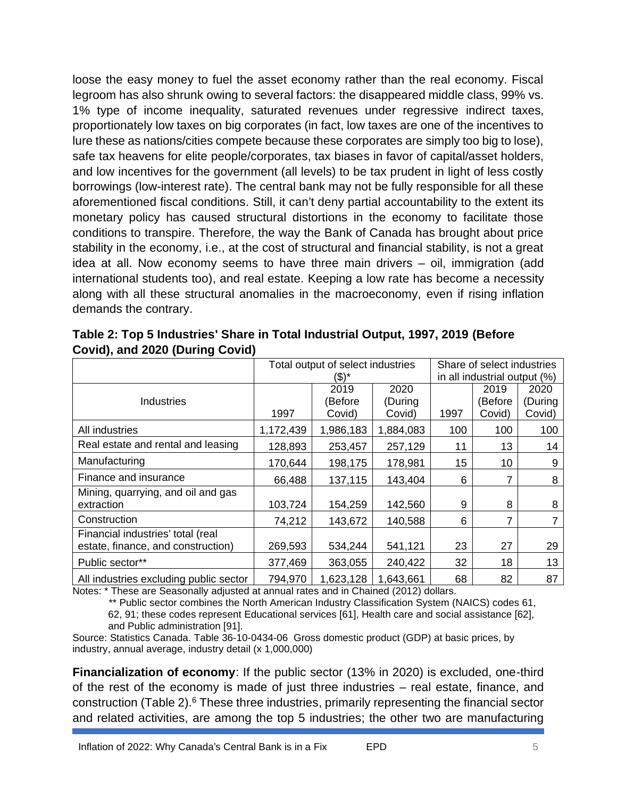loose the easy money to fuel the asset economy rather than the real economy. Fiscal legroom has also shrunk owing to several factors: the disappeared middle class, 99% vs. 1% type of income inequality, saturated revenues under regressive indirect taxes, proportionately low taxes on big corporates (in fact, low taxes are one of the incentives to lure these as nations/cities compete because these corporates are simply too big to lose), safe tax heavens for elite people/corporates, tax biases in favor of capital/asset holders, and low incentives for the government (all levels) to be tax prudent in light of less costly borrowings (low-interest rate). The central bank may not be fully responsible for all these aforementioned fiscal conditions. Still, it can't deny partial accountability to the extent its monetary policy has caused structural distortions in the economy to facilitate those conditions to transpire. Therefore, the way the Bank of Canada has brought about price stability in the economy, i.e., at the cost of structural and financial stability, is not a great idea at all. Now economy seems to have three main drivers – oil, immigration (add international students too), and real estate. Keeping a low rate has become a necessity along with all these structural anomalies in the macroeconomy, even if rising inflation demands the contrary.

|                                                                         | Total output of select industries<br>(\$)* |                           |                           | Share of select industries<br>in all industrial output (%) |                           |                           |
|-------------------------------------------------------------------------|--------------------------------------------|---------------------------|---------------------------|------------------------------------------------------------|---------------------------|---------------------------|
| <b>Industries</b>                                                       | 1997                                       | 2019<br>(Before<br>Covid) | 2020<br>(During<br>Covid) | 1997                                                       | 2019<br>(Before<br>Covid) | 2020<br>(During<br>Covid) |
| All industries                                                          | 1,172,439                                  | 1,986,183                 | 1,884,083                 | 100                                                        | 100                       | 100                       |
| Real estate and rental and leasing                                      | 128,893                                    | 253,457                   | 257,129                   | 11                                                         | 13                        | 14                        |
| Manufacturing                                                           | 170,644                                    | 198,175                   | 178,981                   | 15                                                         | 10                        | 9                         |
| Finance and insurance                                                   | 66,488                                     | 137,115                   | 143,404                   | 6                                                          |                           | 8                         |
| Mining, quarrying, and oil and gas<br>extraction                        | 103,724                                    | 154,259                   | 142,560                   | 9                                                          | 8                         | 8                         |
| Construction                                                            | 74,212                                     | 143,672                   | 140,588                   | 6                                                          | 7                         | 7                         |
| Financial industries' total (real<br>estate, finance, and construction) | 269,593                                    | 534,244                   | 541,121                   | 23                                                         | 27                        | 29                        |
| Public sector**                                                         | 377,469                                    | 363,055                   | 240,422                   | 32                                                         | 18                        | 13                        |
| All industries excluding public sector                                  | 794,970                                    | 1,623,128                 | 1,643,661                 | 68                                                         | 82                        | 87                        |

**Table 2: Top 5 Industries' Share in Total Industrial Output, 1997, 2019 (Before Covid), and 2020 (During Covid)**

Notes: \* These are Seasonally adjusted at annual rates and in Chained (2012) dollars.

\*\* Public sector combines the North American Industry Classification System (NAICS) codes 61, 62, 91; these codes represent Educational services [61], Health care and social assistance [62], and Public administration [91].

Source: Statistics Canada. Table 36-10-0434-06 Gross domestic product (GDP) at basic prices, by industry, annual average, industry detail (x 1,000,000)

**Financialization of economy**: If the public sector (13% in 2020) is excluded, one-third of the rest of the economy is made of just three industries – real estate, finance, and construction (Table 2).<sup>6</sup> These three industries, primarily representing the financial sector and related activities, are among the top 5 industries; the other two are manufacturing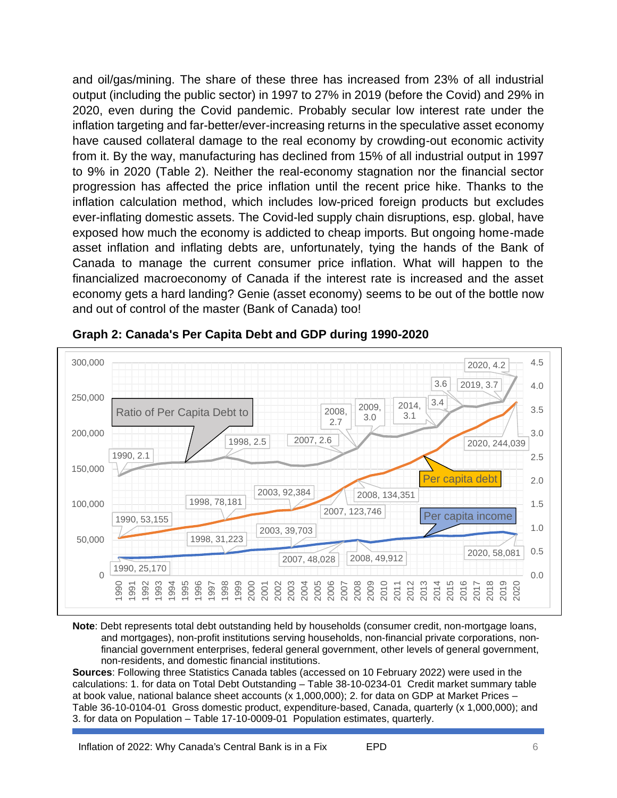and oil/gas/mining. The share of these three has increased from 23% of all industrial output (including the public sector) in 1997 to 27% in 2019 (before the Covid) and 29% in 2020, even during the Covid pandemic. Probably secular low interest rate under the inflation targeting and far-better/ever-increasing returns in the speculative asset economy have caused collateral damage to the real economy by crowding-out economic activity from it. By the way, manufacturing has declined from 15% of all industrial output in 1997 to 9% in 2020 (Table 2). Neither the real-economy stagnation nor the financial sector progression has affected the price inflation until the recent price hike. Thanks to the inflation calculation method, which includes low-priced foreign products but excludes ever-inflating domestic assets. The Covid-led supply chain disruptions, esp. global, have exposed how much the economy is addicted to cheap imports. But ongoing home-made asset inflation and inflating debts are, unfortunately, tying the hands of the Bank of Canada to manage the current consumer price inflation. What will happen to the financialized macroeconomy of Canada if the interest rate is increased and the asset economy gets a hard landing? Genie (asset economy) seems to be out of the bottle now and out of control of the master (Bank of Canada) too!



**Graph 2: Canada's Per Capita Debt and GDP during 1990-2020**

**Note**: Debt represents total debt outstanding held by households (consumer credit, non-mortgage loans, and mortgages), non-profit institutions serving households, non-financial private corporations, nonfinancial government enterprises, federal general government, other levels of general government, non-residents, and domestic financial institutions.

**Sources**: Following three Statistics Canada tables (accessed on 10 February 2022) were used in the calculations: 1. for data on Total Debt Outstanding – Table 38-10-0234-01 Credit market summary table at book value, national balance sheet accounts (x 1,000,000); 2. for data on GDP at Market Prices – Table 36-10-0104-01 Gross domestic product, expenditure-based, Canada, quarterly (x 1,000,000); and 3. for data on Population – Table 17-10-0009-01 Population estimates, quarterly.

Inflation of 2022: Why Canada's Central Bank is in a Fix EPD 6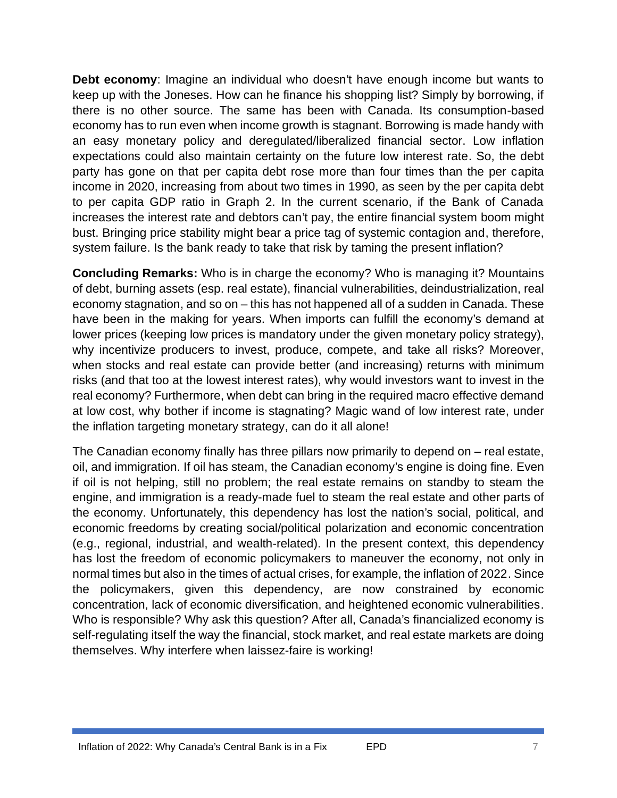**Debt economy**: Imagine an individual who doesn't have enough income but wants to keep up with the Joneses. How can he finance his shopping list? Simply by borrowing, if there is no other source. The same has been with Canada. Its consumption-based economy has to run even when income growth is stagnant. Borrowing is made handy with an easy monetary policy and deregulated/liberalized financial sector. Low inflation expectations could also maintain certainty on the future low interest rate. So, the debt party has gone on that per capita debt rose more than four times than the per capita income in 2020, increasing from about two times in 1990, as seen by the per capita debt to per capita GDP ratio in Graph 2. In the current scenario, if the Bank of Canada increases the interest rate and debtors can't pay, the entire financial system boom might bust. Bringing price stability might bear a price tag of systemic contagion and, therefore, system failure. Is the bank ready to take that risk by taming the present inflation?

**Concluding Remarks:** Who is in charge the economy? Who is managing it? Mountains of debt, burning assets (esp. real estate), financial vulnerabilities, deindustrialization, real economy stagnation, and so on – this has not happened all of a sudden in Canada. These have been in the making for years. When imports can fulfill the economy's demand at lower prices (keeping low prices is mandatory under the given monetary policy strategy), why incentivize producers to invest, produce, compete, and take all risks? Moreover, when stocks and real estate can provide better (and increasing) returns with minimum risks (and that too at the lowest interest rates), why would investors want to invest in the real economy? Furthermore, when debt can bring in the required macro effective demand at low cost, why bother if income is stagnating? Magic wand of low interest rate, under the inflation targeting monetary strategy, can do it all alone!

The Canadian economy finally has three pillars now primarily to depend on – real estate, oil, and immigration. If oil has steam, the Canadian economy's engine is doing fine. Even if oil is not helping, still no problem; the real estate remains on standby to steam the engine, and immigration is a ready-made fuel to steam the real estate and other parts of the economy. Unfortunately, this dependency has lost the nation's social, political, and economic freedoms by creating social/political polarization and economic concentration (e.g., regional, industrial, and wealth-related). In the present context, this dependency has lost the freedom of economic policymakers to maneuver the economy, not only in normal times but also in the times of actual crises, for example, the inflation of 2022. Since the policymakers, given this dependency, are now constrained by economic concentration, lack of economic diversification, and heightened economic vulnerabilities. Who is responsible? Why ask this question? After all, Canada's financialized economy is self-regulating itself the way the financial, stock market, and real estate markets are doing themselves. Why interfere when laissez-faire is working!